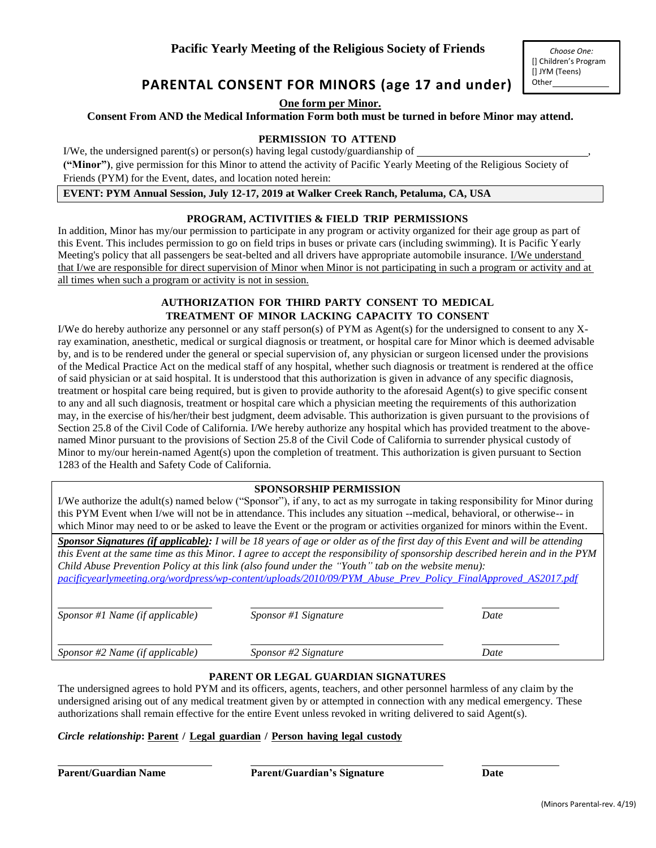# **PARENTAL CONSENT FOR MINORS (age 17 and under)**

**One form per Minor.**

### **Consent From AND the Medical Information Form both must be turned in before Minor may attend.**

#### **PERMISSION TO ATTEND**

I/We, the undersigned parent(s) or person(s) having legal custody/guardianship of  $\overline{\phantom{a}}$ 

**("Minor")**, give permission for this Minor to attend the activity of Pacific Yearly Meeting of the Religious Society of Friends (PYM) for the Event, dates, and location noted herein:

**EVENT: PYM Annual Session, July 12-17, 2019 at Walker Creek Ranch, Petaluma, CA, USA**

### **PROGRAM, ACTIVITIES & FIELD TRIP PERMISSIONS**

In addition, Minor has my/our permission to participate in any program or activity organized for their age group as part of this Event. This includes permission to go on field trips in buses or private cars (including swimming). It is Pacific Yearly Meeting's policy that all passengers be seat-belted and all drivers have appropriate automobile insurance. I/We understand that I/we are responsible for direct supervision of Minor when Minor is not participating in such a program or activity and at all times when such a program or activity is not in session.

## **AUTHORIZATION FOR THIRD PARTY CONSENT TO MEDICAL TREATMENT OF MINOR LACKING CAPACITY TO CONSENT**

I/We do hereby authorize any personnel or any staff person(s) of PYM as Agent(s) for the undersigned to consent to any Xray examination, anesthetic, medical or surgical diagnosis or treatment, or hospital care for Minor which is deemed advisable by, and is to be rendered under the general or special supervision of, any physician or surgeon licensed under the provisions of the Medical Practice Act on the medical staff of any hospital, whether such diagnosis or treatment is rendered at the office of said physician or at said hospital. It is understood that this authorization is given in advance of any specific diagnosis, treatment or hospital care being required, but is given to provide authority to the aforesaid Agent(s) to give specific consent to any and all such diagnosis, treatment or hospital care which a physician meeting the requirements of this authorization may, in the exercise of his/her/their best judgment, deem advisable. This authorization is given pursuant to the provisions of Section 25.8 of the Civil Code of California. I/We hereby authorize any hospital which has provided treatment to the abovenamed Minor pursuant to the provisions of Section 25.8 of the Civil Code of California to surrender physical custody of Minor to my/our herein-named Agent(s) upon the completion of treatment. This authorization is given pursuant to Section 1283 of the Health and Safety Code of California.

### **SPONSORSHIP PERMISSION**

I/We authorize the adult(s) named below ("Sponsor"), if any, to act as my surrogate in taking responsibility for Minor during this PYM Event when I/we will not be in attendance. This includes any situation --medical, behavioral, or otherwise-- in which Minor may need to or be asked to leave the Event or the program or activities organized for minors within the Event.

*Sponsor Signatures (if applicable): I will be 18 years of age or older as of the first day of this Event and will be attending this Event at the same time as this Minor. I agree to accept the responsibility of sponsorship described herein and in the PYM Child Abuse Prevention Policy at this link (also found under the "Youth" tab on the website menu): [pacificyearlymeeting.org/wordpress/wp-content/uploads/2010/09/PYM\\_Abuse\\_Prev\\_Policy\\_FinalApproved\\_AS2017.pdf](http://www.pacificyearlymeeting.org/wordpress/wp-content/uploads/2010/09/PYM_Abuse_Prev_Policy_FinalApproved_AS2017.pdf)*

| Sponsor #1 Name (if applicable)   | <i>Sponsor</i> #1 Signature | Date |
|-----------------------------------|-----------------------------|------|
| Sponsor $#2$ Name (if applicable) | Sponsor #2 Signature        | Date |

### **PARENT OR LEGAL GUARDIAN SIGNATURES**

The undersigned agrees to hold PYM and its officers, agents, teachers, and other personnel harmless of any claim by the undersigned arising out of any medical treatment given by or attempted in connection with any medical emergency. These authorizations shall remain effective for the entire Event unless revoked in writing delivered to said Agent(s).

### *Circle relationship***: Parent / Legal guardian / Person having legal custody**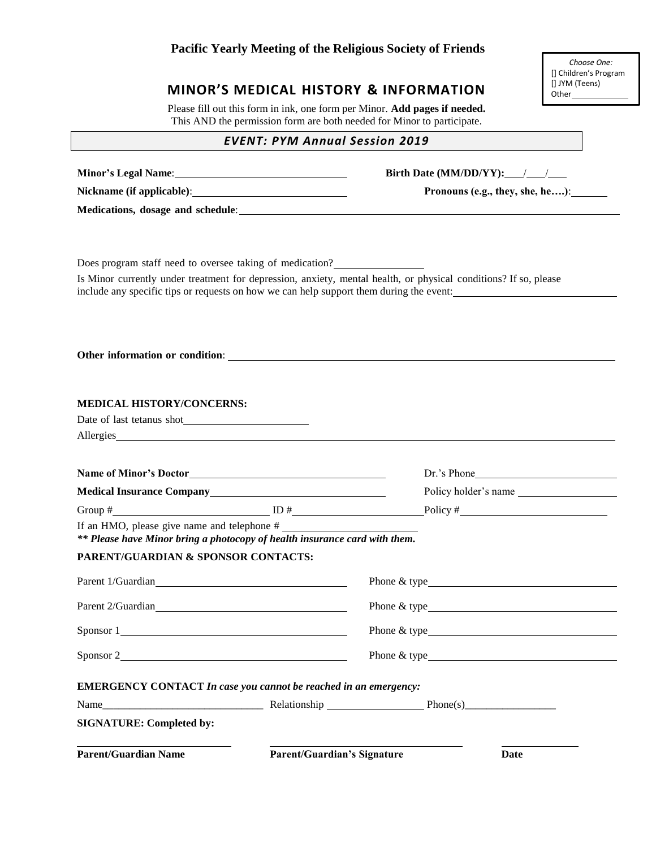# **Pacific Yearly Meeting of the Religious Society of Friends**

# **MINOR'S MEDICAL HISTORY & INFORMATION**

Please fill out this form in ink, one form per Minor. **Add pages if needed.**  This AND the permission form are both needed for Minor to participate.

## *EVENT: PYM Annual Session 2019*

|                                                                            | Birth Date (MM/DD/YY): $\_\_\_\_\_\_\_\_\_$                                                                                                                                                                                                                                                                                                                            |
|----------------------------------------------------------------------------|------------------------------------------------------------------------------------------------------------------------------------------------------------------------------------------------------------------------------------------------------------------------------------------------------------------------------------------------------------------------|
| Nickname (if applicable): Nickname (if applicable):                        | Pronouns (e.g., they, she, he):                                                                                                                                                                                                                                                                                                                                        |
|                                                                            |                                                                                                                                                                                                                                                                                                                                                                        |
|                                                                            |                                                                                                                                                                                                                                                                                                                                                                        |
|                                                                            |                                                                                                                                                                                                                                                                                                                                                                        |
| Does program staff need to oversee taking of medication?                   |                                                                                                                                                                                                                                                                                                                                                                        |
|                                                                            | Is Minor currently under treatment for depression, anxiety, mental health, or physical conditions? If so, please<br>include any specific tips or requests on how we can help support them during the event:                                                                                                                                                            |
|                                                                            |                                                                                                                                                                                                                                                                                                                                                                        |
|                                                                            |                                                                                                                                                                                                                                                                                                                                                                        |
|                                                                            |                                                                                                                                                                                                                                                                                                                                                                        |
| Other information or condition:                                            |                                                                                                                                                                                                                                                                                                                                                                        |
|                                                                            |                                                                                                                                                                                                                                                                                                                                                                        |
| <b>MEDICAL HISTORY/CONCERNS:</b>                                           |                                                                                                                                                                                                                                                                                                                                                                        |
|                                                                            |                                                                                                                                                                                                                                                                                                                                                                        |
| Allergies                                                                  |                                                                                                                                                                                                                                                                                                                                                                        |
|                                                                            |                                                                                                                                                                                                                                                                                                                                                                        |
|                                                                            | Dr.'s Phone                                                                                                                                                                                                                                                                                                                                                            |
| Medical Insurance Company<br><u>Example 2001</u>                           | Policy holder's name                                                                                                                                                                                                                                                                                                                                                   |
|                                                                            |                                                                                                                                                                                                                                                                                                                                                                        |
| If an HMO, please give name and telephone #                                |                                                                                                                                                                                                                                                                                                                                                                        |
| ** Please have Minor bring a photocopy of health insurance card with them. |                                                                                                                                                                                                                                                                                                                                                                        |
| <b>PARENT/GUARDIAN &amp; SPONSOR CONTACTS:</b>                             |                                                                                                                                                                                                                                                                                                                                                                        |
| Parent 1/Guardian<br><u>Example 2014</u>                                   |                                                                                                                                                                                                                                                                                                                                                                        |
| Parent 2/Guardian                                                          | Phone $\&$ type $\qquad \qquad$ $\qquad \qquad$ $\qquad \qquad$ $\qquad \qquad$ $\qquad \qquad$ $\qquad \qquad$ $\qquad \qquad$ $\qquad \qquad$ $\qquad \qquad$ $\qquad \qquad$ $\qquad \qquad$ $\qquad \qquad$ $\qquad \qquad$ $\qquad$ $\qquad$ $\qquad$ $\qquad$ $\qquad$ $\qquad$ $\qquad$ $\qquad$ $\qquad$ $\qquad$ $\qquad$ $\qquad$ $\qquad$ $\qquad$ $\qquad$ |
| Sponsor 1                                                                  | Phone & type                                                                                                                                                                                                                                                                                                                                                           |
| Sponsor 2                                                                  |                                                                                                                                                                                                                                                                                                                                                                        |
|                                                                            |                                                                                                                                                                                                                                                                                                                                                                        |
| <b>EMERGENCY CONTACT In case you cannot be reached in an emergency:</b>    |                                                                                                                                                                                                                                                                                                                                                                        |
|                                                                            |                                                                                                                                                                                                                                                                                                                                                                        |
| <b>SIGNATURE: Completed by:</b>                                            |                                                                                                                                                                                                                                                                                                                                                                        |
|                                                                            |                                                                                                                                                                                                                                                                                                                                                                        |

*Choose One:* [] Children's Program [] JYM (Teens) Other